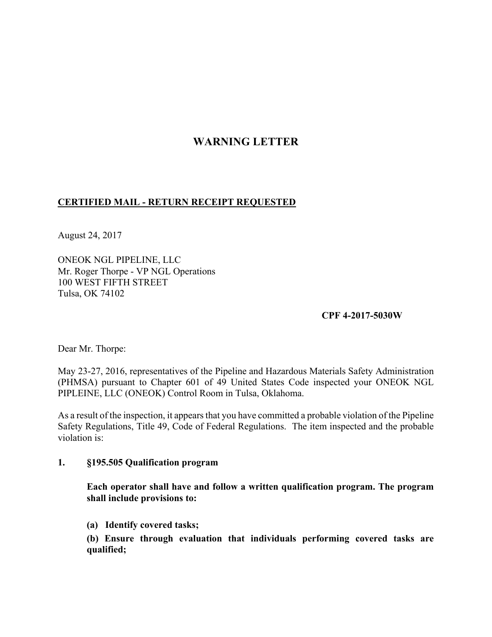## **WARNING LETTER**

## **CERTIFIED MAIL - RETURN RECEIPT REQUESTED**

August 24, 2017

ONEOK NGL PIPELINE, LLC Mr. Roger Thorpe - VP NGL Operations 100 WEST FIFTH STREET Tulsa, OK 74102

## **CPF 4-2017-5030W**

Dear Mr. Thorpe:

May 23-27, 2016, representatives of the Pipeline and Hazardous Materials Safety Administration (PHMSA) pursuant to Chapter 601 of 49 United States Code inspected your ONEOK NGL PIPLEINE, LLC (ONEOK) Control Room in Tulsa, Oklahoma.

As a result of the inspection, it appears that you have committed a probable violation of the Pipeline Safety Regulations, Title 49, Code of Federal Regulations. The item inspected and the probable violation is:

## **1. §195.505 Qualification program**

**Each operator shall have and follow a written qualification program. The program shall include provisions to:** 

**(a) Identify covered tasks;** 

**(b) Ensure through evaluation that individuals performing covered tasks are qualified;**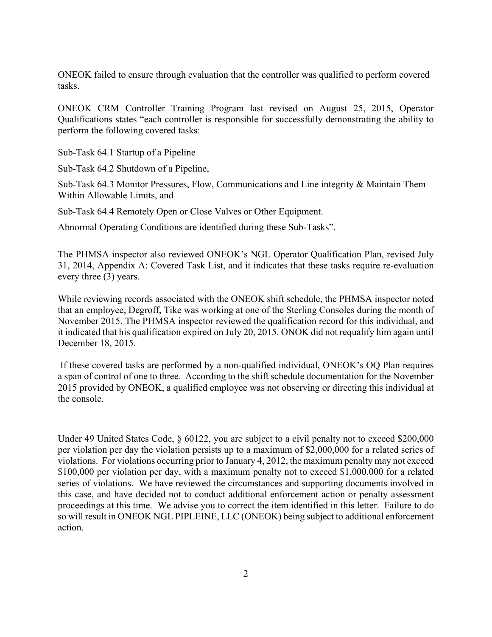ONEOK failed to ensure through evaluation that the controller was qualified to perform covered tasks.

ONEOK CRM Controller Training Program last revised on August 25, 2015, Operator Qualifications states "each controller is responsible for successfully demonstrating the ability to perform the following covered tasks:

Sub-Task 64.1 Startup of a Pipeline

Sub-Task 64.2 Shutdown of a Pipeline,

Sub-Task 64.3 Monitor Pressures, Flow, Communications and Line integrity & Maintain Them Within Allowable Limits, and

Sub-Task 64.4 Remotely Open or Close Valves or Other Equipment.

Abnormal Operating Conditions are identified during these Sub-Tasks".

The PHMSA inspector also reviewed ONEOK's NGL Operator Qualification Plan, revised July 31, 2014, Appendix A: Covered Task List, and it indicates that these tasks require re-evaluation every three (3) years.

While reviewing records associated with the ONEOK shift schedule, the PHMSA inspector noted that an employee, Degroff, Tike was working at one of the Sterling Consoles during the month of November 2015. The PHMSA inspector reviewed the qualification record for this individual, and it indicated that his qualification expired on July 20, 2015. ONOK did not requalify him again until December 18, 2015.

 If these covered tasks are performed by a non-qualified individual, ONEOK's OQ Plan requires a span of control of one to three. According to the shift schedule documentation for the November 2015 provided by ONEOK, a qualified employee was not observing or directing this individual at the console.

Under 49 United States Code, § 60122, you are subject to a civil penalty not to exceed \$200,000 per violation per day the violation persists up to a maximum of \$2,000,000 for a related series of violations. For violations occurring prior to January 4, 2012, the maximum penalty may not exceed \$100,000 per violation per day, with a maximum penalty not to exceed \$1,000,000 for a related series of violations. We have reviewed the circumstances and supporting documents involved in this case, and have decided not to conduct additional enforcement action or penalty assessment proceedings at this time. We advise you to correct the item identified in this letter. Failure to do so will result in ONEOK NGL PIPLEINE, LLC (ONEOK) being subject to additional enforcement action.